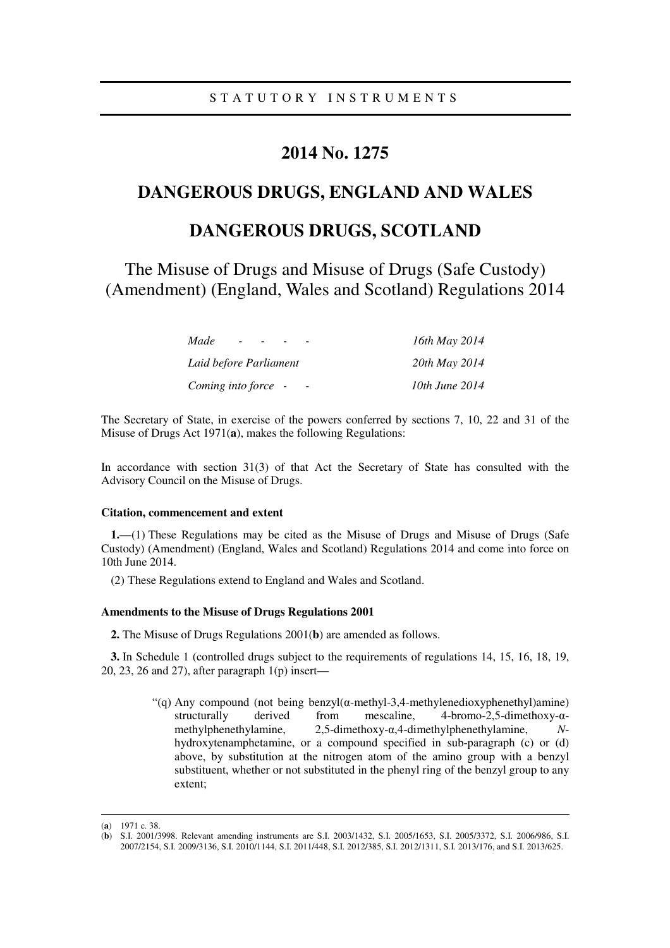### **2014 No. 1275**

## **DANGEROUS DRUGS, ENGLAND AND WALES**

# **DANGEROUS DRUGS, SCOTLAND**

The Misuse of Drugs and Misuse of Drugs (Safe Custody) (Amendment) (England, Wales and Scotland) Regulations 2014

| Made                                            | 16th May 2014  |
|-------------------------------------------------|----------------|
| Laid before Parliament                          | 20th May 2014  |
| Coming into force -<br>$\overline{\phantom{a}}$ | 10th June 2014 |

The Secretary of State, in exercise of the powers conferred by sections 7, 10, 22 and 31 of the Misuse of Drugs Act 1971(**a**), makes the following Regulations:

In accordance with section 31(3) of that Act the Secretary of State has consulted with the Advisory Council on the Misuse of Drugs.

#### **Citation, commencement and extent**

**1.**—(1) These Regulations may be cited as the Misuse of Drugs and Misuse of Drugs (Safe Custody) (Amendment) (England, Wales and Scotland) Regulations 2014 and come into force on 10th June 2014.

(2) These Regulations extend to England and Wales and Scotland.

#### **Amendments to the Misuse of Drugs Regulations 2001**

**2.** The Misuse of Drugs Regulations 2001(**b**) are amended as follows.

**3.** In Schedule 1 (controlled drugs subject to the requirements of regulations 14, 15, 16, 18, 19, 20, 23, 26 and 27), after paragraph 1(p) insert—

> "(q) Any compound (not being benzyl( $\alpha$ -methyl-3,4-methylenedioxyphenethyl)amine) structurally derived from mescaline, 4-bromo-2,5-dimethoxy-αmethylphenethylamine, 2,5-dimethoxy-α,4-dimethylphenethylamine, *N*hydroxytenamphetamine, or a compound specified in sub-paragraph (c) or (d) above, by substitution at the nitrogen atom of the amino group with a benzyl substituent, whether or not substituted in the phenyl ring of the benzyl group to any extent;

<u>.</u>

<sup>(</sup>**a**) 1971 c. 38.

<sup>(</sup>**b**) S.I. 2001/3998. Relevant amending instruments are S.I. 2003/1432, S.I. 2005/1653, S.I. 2005/3372, S.I. 2006/986, S.I. 2007/2154, S.I. 2009/3136, S.I. 2010/1144, S.I. 2011/448, S.I. 2012/385, S.I. 2012/1311, S.I. 2013/176, and S.I. 2013/625.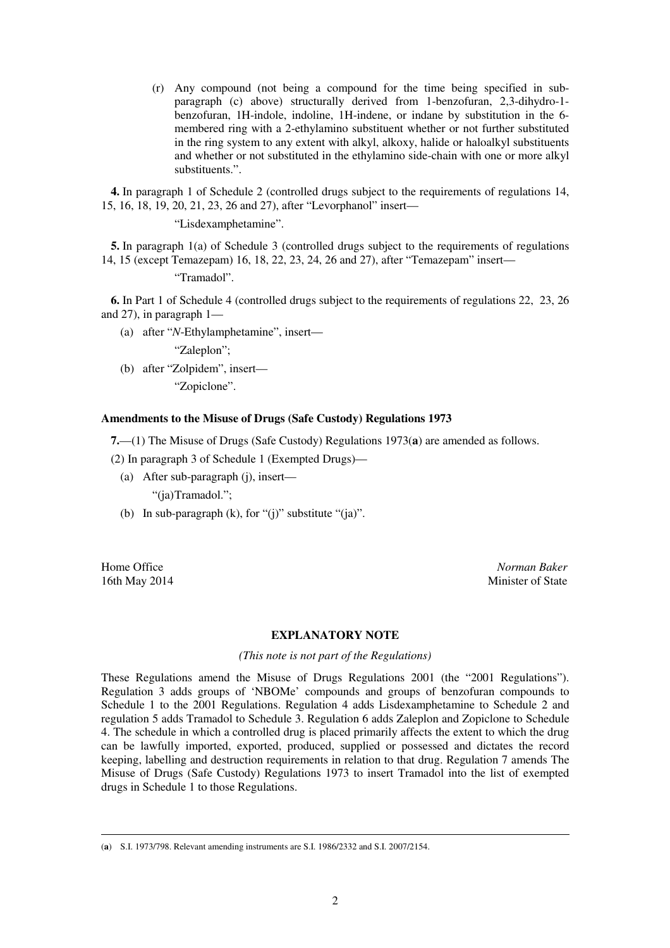(r) Any compound (not being a compound for the time being specified in subparagraph (c) above) structurally derived from 1-benzofuran, 2,3-dihydro-1 benzofuran, 1H-indole, indoline, 1H-indene, or indane by substitution in the 6 membered ring with a 2-ethylamino substituent whether or not further substituted in the ring system to any extent with alkyl, alkoxy, halide or haloalkyl substituents and whether or not substituted in the ethylamino side-chain with one or more alkyl substituents.".

**4.** In paragraph 1 of Schedule 2 (controlled drugs subject to the requirements of regulations 14, 15, 16, 18, 19, 20, 21, 23, 26 and 27), after "Levorphanol" insert—

"Lisdexamphetamine".

**5.** In paragraph 1(a) of Schedule 3 (controlled drugs subject to the requirements of regulations 14, 15 (except Temazepam) 16, 18, 22, 23, 24, 26 and 27), after "Temazepam" insert—

"Tramadol".

**6.** In Part 1 of Schedule 4 (controlled drugs subject to the requirements of regulations 22, 23, 26 and 27), in paragraph 1—

(a) after "*N*-Ethylamphetamine", insert—

"Zaleplon";

(b) after "Zolpidem", insert—

"Zopiclone".

### **Amendments to the Misuse of Drugs (Safe Custody) Regulations 1973**

**7.**—(1) The Misuse of Drugs (Safe Custody) Regulations 1973(**a**) are amended as follows.

(2) In paragraph 3 of Schedule 1 (Exempted Drugs)—

- (a) After sub-paragraph (j), insert— "(ja) Tramadol.";
- (b) In sub-paragraph  $(k)$ , for " $(j)$ " substitute " $(ja)$ ".

<u>.</u>

Home Office *Norman Baker* 16th May 2014 Minister of State

#### **EXPLANATORY NOTE**

*(This note is not part of the Regulations)* 

These Regulations amend the Misuse of Drugs Regulations 2001 (the "2001 Regulations"). Regulation 3 adds groups of 'NBOMe' compounds and groups of benzofuran compounds to Schedule 1 to the 2001 Regulations. Regulation 4 adds Lisdexamphetamine to Schedule 2 and regulation 5 adds Tramadol to Schedule 3. Regulation 6 adds Zaleplon and Zopiclone to Schedule 4. The schedule in which a controlled drug is placed primarily affects the extent to which the drug can be lawfully imported, exported, produced, supplied or possessed and dictates the record keeping, labelling and destruction requirements in relation to that drug. Regulation 7 amends The Misuse of Drugs (Safe Custody) Regulations 1973 to insert Tramadol into the list of exempted drugs in Schedule 1 to those Regulations.

<sup>(</sup>**a**) S.I. 1973/798. Relevant amending instruments are S.I. 1986/2332 and S.I. 2007/2154.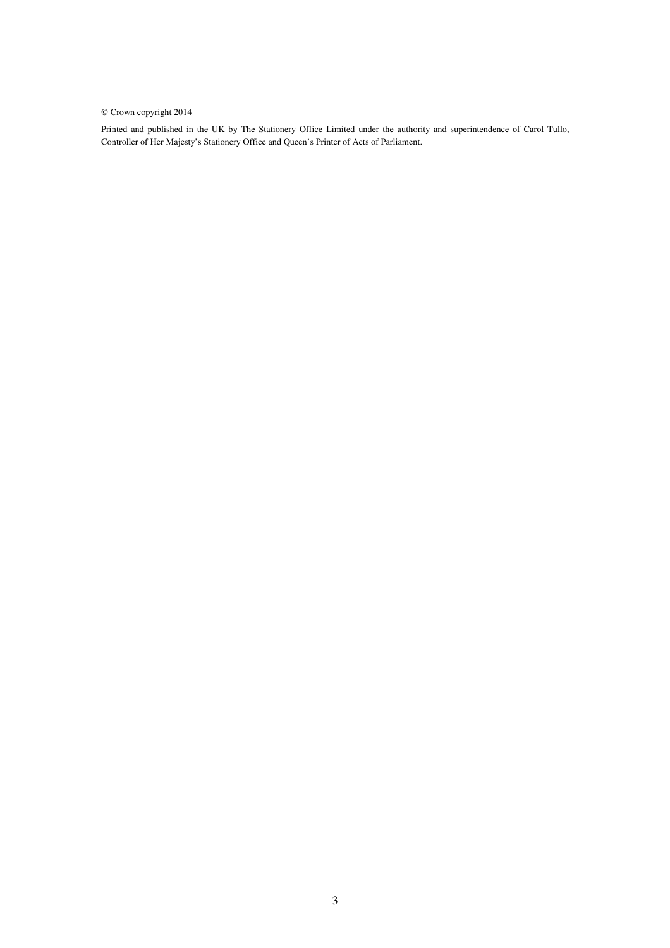© Crown copyright 2014

Printed and published in the UK by The Stationery Office Limited under the authority and superintendence of Carol Tullo, Controller of Her Majesty's Stationery Office and Queen's Printer of Acts of Parliament.